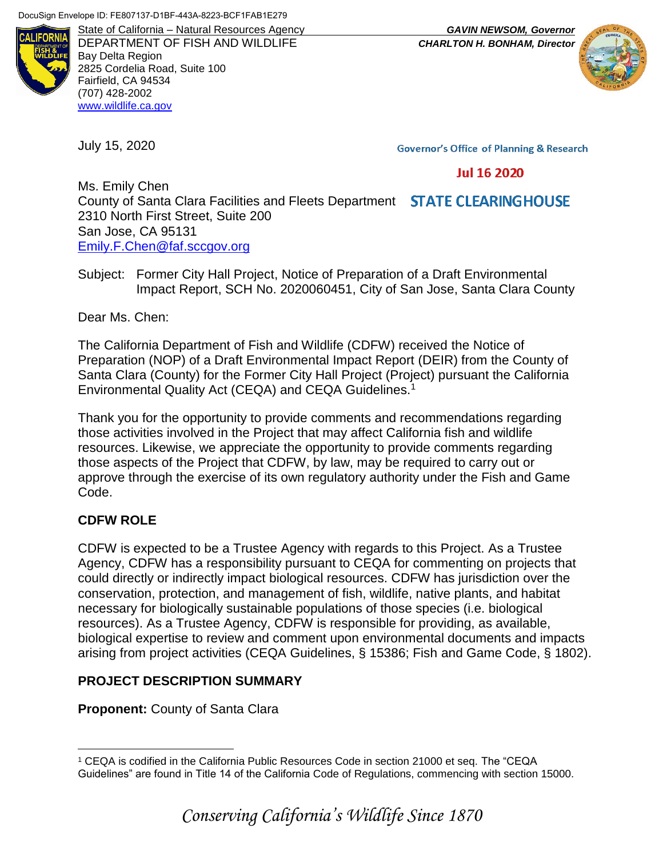

State of California – Natural Resources Agency *GAVIN NEWSOM, Governor* DEPARTMENT OF FISH AND WILDLIFE *CHARLTON H. BONHAM, Director* Bay Delta Region 2825 Cordelia Road, Suite 100 Fairfield, CA 94534 (707) 428-2002 [www.wildlife.ca.gov](http://www.wildlife.ca.gov/)

July 15, 2020

**Governor's Office of Planning & Research** 

#### **Jul 16 2020**

Ms. Emily Chen County of Santa Clara Facilities and Fleets Department **STATE CLEARINGHOUSE** 2310 North First Street, Suite 200 San Jose, CA 95131 [Emily.F.Chen@faf.sccgov.org](mailto:Emily.F.Chen@faf.sccgov.org)

Subject: Former City Hall Project, Notice of Preparation of a Draft Environmental Impact Report, SCH No. 2020060451, City of San Jose, Santa Clara County

Dear Ms. Chen:

The California Department of Fish and Wildlife (CDFW) received the Notice of Preparation (NOP) of a Draft Environmental Impact Report (DEIR) from the County of Santa Clara (County) for the Former City Hall Project (Project) pursuant the California Environmental Quality Act (CEQA) and CEQA Guidelines.<sup>1</sup>

Thank you for the opportunity to provide comments and recommendations regarding those activities involved in the Project that may affect California fish and wildlife resources. Likewise, we appreciate the opportunity to provide comments regarding those aspects of the Project that CDFW, by law, may be required to carry out or approve through the exercise of its own regulatory authority under the Fish and Game Code.

# **CDFW ROLE**

 $\overline{a}$ 

CDFW is expected to be a Trustee Agency with regards to this Project. As a Trustee Agency, CDFW has a responsibility pursuant to CEQA for commenting on projects that could directly or indirectly impact biological resources. CDFW has jurisdiction over the conservation, protection, and management of fish, wildlife, native plants, and habitat necessary for biologically sustainable populations of those species (i.e. biological resources). As a Trustee Agency, CDFW is responsible for providing, as available, biological expertise to review and comment upon environmental documents and impacts arising from project activities (CEQA Guidelines, § 15386; Fish and Game Code, § 1802).

### **PROJECT DESCRIPTION SUMMARY**

**Proponent:** County of Santa Clara

<sup>1</sup> CEQA is codified in the California Public Resources Code in section 21000 et seq. The "CEQA Guidelines" are found in Title 14 of the California Code of Regulations, commencing with section 15000.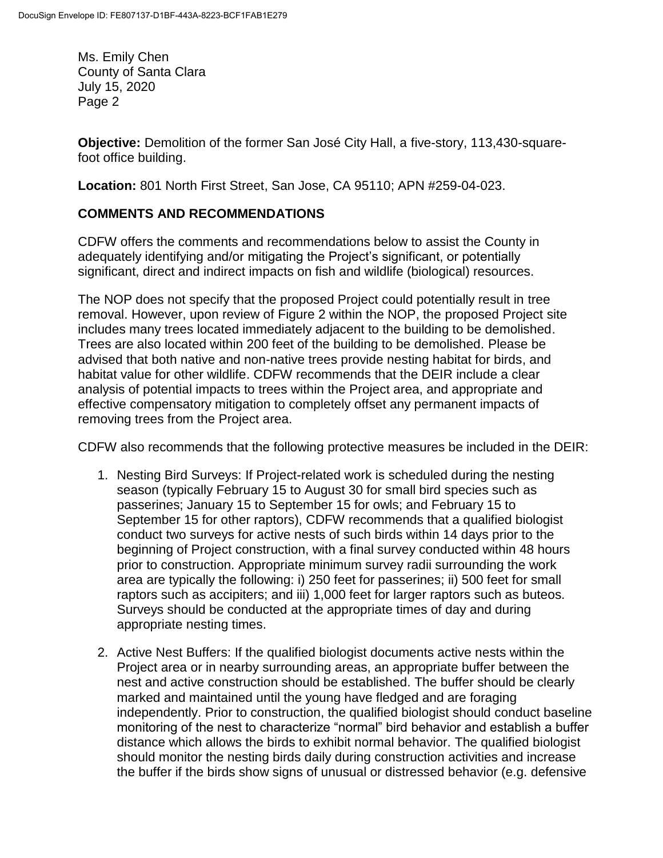Ms. Emily Chen County of Santa Clara July 15, 2020 Page 2

**Objective:** Demolition of the former San José City Hall, a five-story, 113,430-squarefoot office building.

**Location:** 801 North First Street, San Jose, CA 95110; APN #259-04-023.

# **COMMENTS AND RECOMMENDATIONS**

CDFW offers the comments and recommendations below to assist the County in adequately identifying and/or mitigating the Project's significant, or potentially significant, direct and indirect impacts on fish and wildlife (biological) resources.

The NOP does not specify that the proposed Project could potentially result in tree removal. However, upon review of Figure 2 within the NOP, the proposed Project site includes many trees located immediately adjacent to the building to be demolished. Trees are also located within 200 feet of the building to be demolished. Please be advised that both native and non-native trees provide nesting habitat for birds, and habitat value for other wildlife. CDFW recommends that the DEIR include a clear analysis of potential impacts to trees within the Project area, and appropriate and effective compensatory mitigation to completely offset any permanent impacts of removing trees from the Project area.

CDFW also recommends that the following protective measures be included in the DEIR:

- 1. Nesting Bird Surveys: If Project-related work is scheduled during the nesting season (typically February 15 to August 30 for small bird species such as passerines; January 15 to September 15 for owls; and February 15 to September 15 for other raptors), CDFW recommends that a qualified biologist conduct two surveys for active nests of such birds within 14 days prior to the beginning of Project construction, with a final survey conducted within 48 hours prior to construction. Appropriate minimum survey radii surrounding the work area are typically the following: i) 250 feet for passerines; ii) 500 feet for small raptors such as accipiters; and iii) 1,000 feet for larger raptors such as buteos. Surveys should be conducted at the appropriate times of day and during appropriate nesting times.
- 2. Active Nest Buffers: If the qualified biologist documents active nests within the Project area or in nearby surrounding areas, an appropriate buffer between the nest and active construction should be established. The buffer should be clearly marked and maintained until the young have fledged and are foraging independently. Prior to construction, the qualified biologist should conduct baseline monitoring of the nest to characterize "normal" bird behavior and establish a buffer distance which allows the birds to exhibit normal behavior. The qualified biologist should monitor the nesting birds daily during construction activities and increase the buffer if the birds show signs of unusual or distressed behavior (e.g. defensive